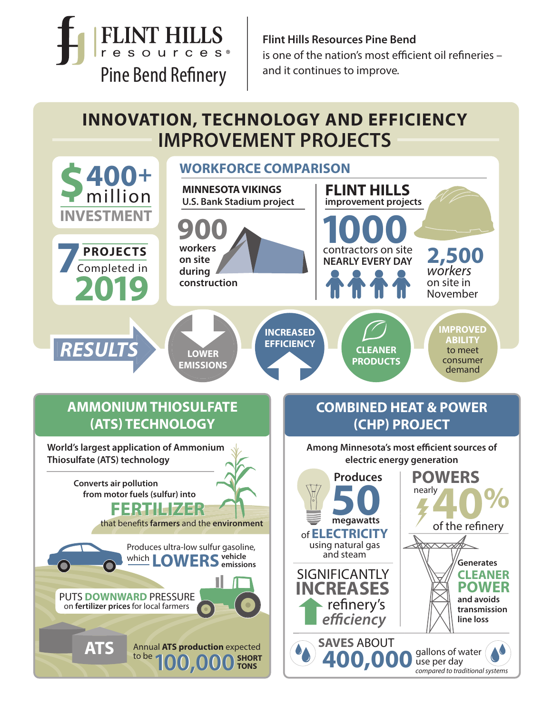**FLINT HILLS** resources<sup>®</sup> Pine Bend Refinery

**Flint Hills Resources Pine Bend** is one of the nation's most efficient oil refineries  $$ and it continues to improve.

# **INNOVATION, TECHNOLOGY AND EFFICIENCY IMPROVEMENT PROJECTS**